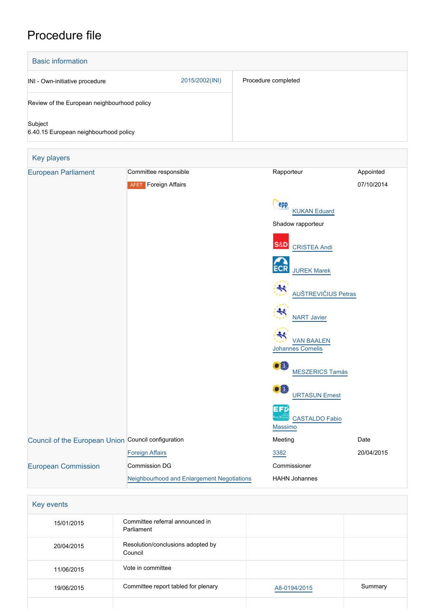## Procedure file

| <b>Basic information</b>                         |                |                     |
|--------------------------------------------------|----------------|---------------------|
| INI - Own-initiative procedure                   | 2015/2002(INI) | Procedure completed |
| Review of the European neighbourhood policy      |                |                     |
| Subject<br>6.40.15 European neighbourhood policy |                |                     |

| Key players                                         |                                                   |                                               |            |
|-----------------------------------------------------|---------------------------------------------------|-----------------------------------------------|------------|
| <b>European Parliament</b>                          | Committee responsible                             | Rapporteur                                    | Appointed  |
|                                                     | <b>AFET</b> Foreign Affairs                       |                                               | 07/10/2014 |
|                                                     |                                                   | epp<br><b>KUKAN Eduard</b>                    |            |
|                                                     |                                                   | Shadow rapporteur                             |            |
|                                                     |                                                   | <b>S&amp;D</b><br><b>CRISTEA Andi</b>         |            |
|                                                     |                                                   | <b>ECR</b><br><b>JUREK Marek</b>              |            |
|                                                     |                                                   | ₩<br><b>AUŠTREVIČIUS Petras</b>               |            |
|                                                     |                                                   | <b>NART Javier</b>                            |            |
|                                                     |                                                   | <b>VAN BAALEN</b><br><b>Johannes Cornelis</b> |            |
|                                                     |                                                   | $\bullet$ in<br><b>MESZERICS Tamás</b>        |            |
|                                                     |                                                   | $\bullet$ $\Box$<br><b>URTASUN Ernest</b>     |            |
|                                                     |                                                   | EFD<br><b>CASTALDO Fabio</b><br>Massimo       |            |
| Council of the European Union Council configuration |                                                   | Meeting                                       | Date       |
|                                                     | <b>Foreign Affairs</b>                            | 3382                                          | 20/04/2015 |
| <b>European Commission</b>                          | Commission DG                                     | Commissioner                                  |            |
|                                                     | <b>Neighbourhood and Enlargement Negotiations</b> | <b>HAHN Johannes</b>                          |            |

| <b>Key events</b> |
|-------------------|
|-------------------|

| 15/01/2015 | Committee referral announced in<br>Parliament |              |         |
|------------|-----------------------------------------------|--------------|---------|
| 20/04/2015 | Resolution/conclusions adopted by<br>Council  |              |         |
| 11/06/2015 | Vote in committee                             |              |         |
| 19/06/2015 | Committee report tabled for plenary           | A8-0194/2015 | Summary |
|            |                                               |              |         |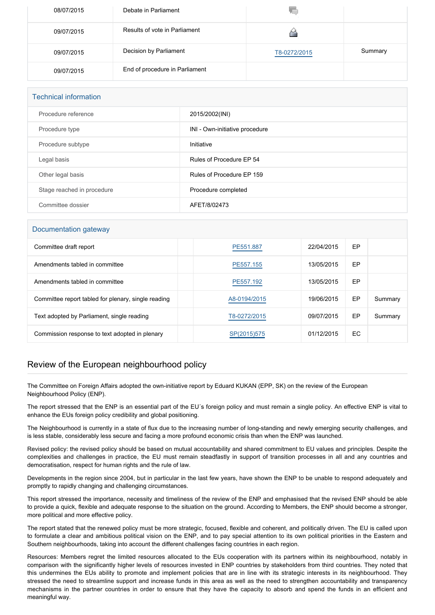| 08/07/2015 | Debate in Parliament           |              |         |
|------------|--------------------------------|--------------|---------|
| 09/07/2015 | Results of vote in Parliament  |              |         |
| 09/07/2015 | Decision by Parliament         | T8-0272/2015 | Summary |
| 09/07/2015 | End of procedure in Parliament |              |         |

| <b>Technical information</b> |                                |  |
|------------------------------|--------------------------------|--|
| Procedure reference          | 2015/2002(INI)                 |  |
| Procedure type               | INI - Own-initiative procedure |  |
| Procedure subtype            | Initiative                     |  |
| Legal basis                  | Rules of Procedure EP 54       |  |
| Other legal basis            | Rules of Procedure EP 159      |  |
| Stage reached in procedure   | Procedure completed            |  |
| Committee dossier            | AFET/8/02473                   |  |

## Documentation gateway

| Committee draft report                              | PE551.887    | 22/04/2015 | EP |         |
|-----------------------------------------------------|--------------|------------|----|---------|
| Amendments tabled in committee                      | PE557.155    | 13/05/2015 | EP |         |
| Amendments tabled in committee                      | PE557.192    | 13/05/2015 | EP |         |
| Committee report tabled for plenary, single reading | A8-0194/2015 | 19/06/2015 | EP | Summary |
| Text adopted by Parliament, single reading          | T8-0272/2015 | 09/07/2015 | EP | Summary |
| Commission response to text adopted in plenary      | SP(2015)575  | 01/12/2015 | EC |         |

## Review of the European neighbourhood policy

The Committee on Foreign Affairs adopted the own-initiative report by Eduard KUKAN (EPP, SK) on the review of the European Neighbourhood Policy (ENP).

The report stressed that the ENP is an essential part of the EU´s foreign policy and must remain a single policy. An effective ENP is vital to enhance the EUs foreign policy credibility and global positioning.

The Neighbourhood is currently in a state of flux due to the increasing number of long-standing and newly emerging security challenges, and is less stable, considerably less secure and facing a more profound economic crisis than when the ENP was launched.

Revised policy: the revised policy should be based on mutual accountability and shared commitment to EU values and principles. Despite the complexities and challenges in practice, the EU must remain steadfastly in support of transition processes in all and any countries and democratisation, respect for human rights and the rule of law.

Developments in the region since 2004, but in particular in the last few years, have shown the ENP to be unable to respond adequately and promptly to rapidly changing and challenging circumstances.

This report stressed the importance, necessity and timeliness of the review of the ENP and emphasised that the revised ENP should be able to provide a quick, flexible and adequate response to the situation on the ground. According to Members, the ENP should become a stronger, more political and more effective policy.

The report stated that the renewed policy must be more strategic, focused, flexible and coherent, and politically driven. The EU is called upon to formulate a clear and ambitious political vision on the ENP, and to pay special attention to its own political priorities in the Eastern and Southern neighbourhoods, taking into account the different challenges facing countries in each region.

Resources: Members regret the limited resources allocated to the EUs cooperation with its partners within its neighbourhood, notably in comparison with the significantly higher levels of resources invested in ENP countries by stakeholders from third countries. They noted that this undermines the EUs ability to promote and implement policies that are in line with its strategic interests in its neighbourhood. They stressed the need to streamline support and increase funds in this area as well as the need to strengthen accountability and transparency mechanisms in the partner countries in order to ensure that they have the capacity to absorb and spend the funds in an efficient and meaningful way.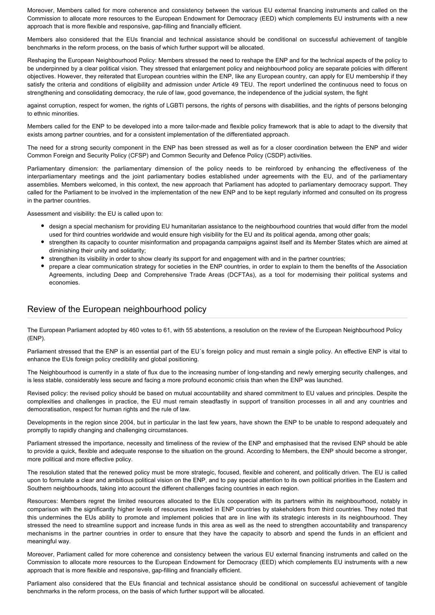Moreover, Members called for more coherence and consistency between the various EU external financing instruments and called on the Commission to allocate more resources to the European Endowment for Democracy (EED) which complements EU instruments with a new approach that is more flexible and responsive, gap-filling and financially efficient.

Members also considered that the EUs financial and technical assistance should be conditional on successful achievement of tangible benchmarks in the reform process, on the basis of which further support will be allocated.

Reshaping the European Neighbourhood Policy: Members stressed the need to reshape the ENP and for the technical aspects of the policy to be underpinned by a clear political vision. They stressed that enlargement policy and neighbourhood policy are separate policies with different objectives. However, they reiterated that European countries within the ENP, like any European country, can apply for EU membership if they satisfy the criteria and conditions of eligibility and admission under Article 49 TEU. The report underlined the continuous need to focus on strengthening and consolidating democracy, the rule of law, good governance, the independence of the judicial system, the fight

against corruption, respect for women, the rights of LGBTI persons, the rights of persons with disabilities, and the rights of persons belonging to ethnic minorities.

Members called for the ENP to be developed into a more tailor-made and flexible policy framework that is able to adapt to the diversity that exists among partner countries, and for a consistent implementation of the differentiated approach.

The need for a strong security component in the ENP has been stressed as well as for a closer coordination between the ENP and wider Common Foreign and Security Policy (CFSP) and Common Security and Defence Policy (CSDP) activities.

Parliamentary dimension: the parliamentary dimension of the policy needs to be reinforced by enhancing the effectiveness of the interparliamentary meetings and the joint parliamentary bodies established under agreements with the EU, and of the parliamentary assemblies. Members welcomed, in this context, the new approach that Parliament has adopted to parliamentary democracy support. They called for the Parliament to be involved in the implementation of the new ENP and to be kept regularly informed and consulted on its progress in the partner countries.

Assessment and visibility: the EU is called upon to:

- design a special mechanism for providing EU humanitarian assistance to the neighbourhood countries that would differ from the model used for third countries worldwide and would ensure high visibility for the EU and its political agenda, among other goals;
- strengthen its capacity to counter misinformation and propaganda campaigns against itself and its Member States which are aimed at diminishing their unity and solidarity;
- strengthen its visibility in order to show clearly its support for and engagement with and in the partner countries;
- prepare a clear communication strategy for societies in the ENP countries, in order to explain to them the benefits of the Association Agreements, including Deep and Comprehensive Trade Areas (DCFTAs), as a tool for modernising their political systems and economies.

## Review of the European neighbourhood policy

The European Parliament adopted by 460 votes to 61, with 55 abstentions, a resolution on the review of the European Neighbourhood Policy (ENP).

Parliament stressed that the ENP is an essential part of the EU´s foreign policy and must remain a single policy. An effective ENP is vital to enhance the EUs foreign policy credibility and global positioning.

The Neighbourhood is currently in a state of flux due to the increasing number of long-standing and newly emerging security challenges, and is less stable, considerably less secure and facing a more profound economic crisis than when the ENP was launched.

Revised policy: the revised policy should be based on mutual accountability and shared commitment to EU values and principles. Despite the complexities and challenges in practice, the EU must remain steadfastly in support of transition processes in all and any countries and democratisation, respect for human rights and the rule of law.

Developments in the region since 2004, but in particular in the last few years, have shown the ENP to be unable to respond adequately and promptly to rapidly changing and challenging circumstances.

Parliament stressed the importance, necessity and timeliness of the review of the ENP and emphasised that the revised ENP should be able to provide a quick, flexible and adequate response to the situation on the ground. According to Members, the ENP should become a stronger, more political and more effective policy.

The resolution stated that the renewed policy must be more strategic, focused, flexible and coherent, and politically driven. The EU is called upon to formulate a clear and ambitious political vision on the ENP, and to pay special attention to its own political priorities in the Eastern and Southern neighbourhoods, taking into account the different challenges facing countries in each region.

Resources: Members regret the limited resources allocated to the EUs cooperation with its partners within its neighbourhood, notably in comparison with the significantly higher levels of resources invested in ENP countries by stakeholders from third countries. They noted that this undermines the EUs ability to promote and implement policies that are in line with its strategic interests in its neighbourhood. They stressed the need to streamline support and increase funds in this area as well as the need to strengthen accountability and transparency mechanisms in the partner countries in order to ensure that they have the capacity to absorb and spend the funds in an efficient and meaningful way.

Moreover, Parliament called for more coherence and consistency between the various EU external financing instruments and called on the Commission to allocate more resources to the European Endowment for Democracy (EED) which complements EU instruments with a new approach that is more flexible and responsive, gap-filling and financially efficient.

Parliament also considered that the EUs financial and technical assistance should be conditional on successful achievement of tangible benchmarks in the reform process, on the basis of which further support will be allocated.